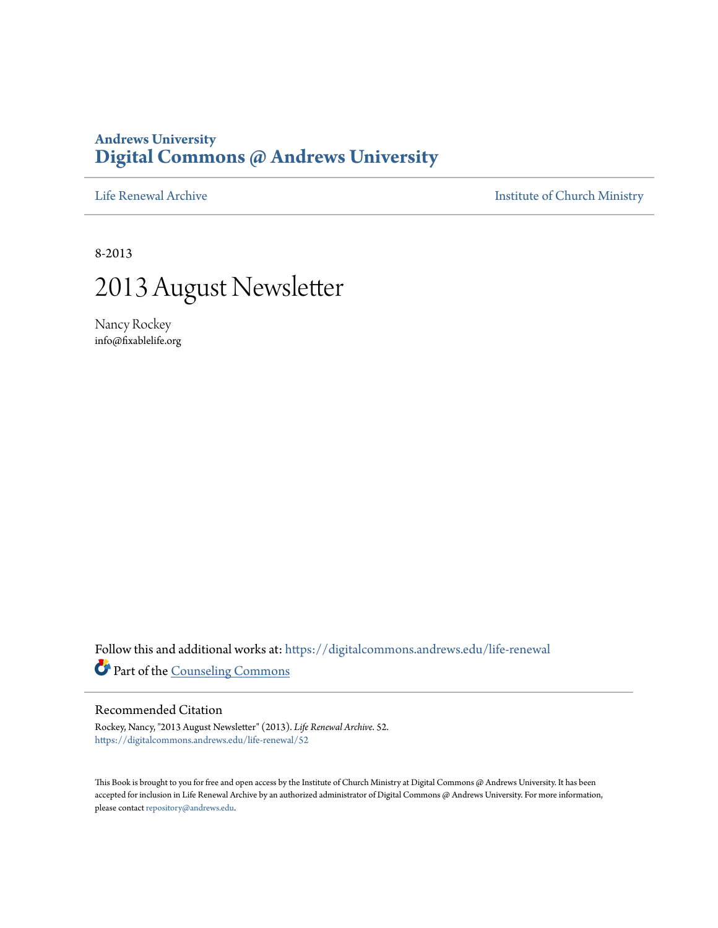### **Andrews University [Digital Commons @ Andrews University](https://digitalcommons.andrews.edu/?utm_source=digitalcommons.andrews.edu%2Flife-renewal%2F52&utm_medium=PDF&utm_campaign=PDFCoverPages)**

[Life Renewal Archive](https://digitalcommons.andrews.edu/life-renewal?utm_source=digitalcommons.andrews.edu%2Flife-renewal%2F52&utm_medium=PDF&utm_campaign=PDFCoverPages) **[Institute of Church Ministry](https://digitalcommons.andrews.edu/icm?utm_source=digitalcommons.andrews.edu%2Flife-renewal%2F52&utm_medium=PDF&utm_campaign=PDFCoverPages)** 

8-2013

## 2013 August Newsletter

Nancy Rockey info@fixablelife.org

Follow this and additional works at: [https://digitalcommons.andrews.edu/life-renewal](https://digitalcommons.andrews.edu/life-renewal?utm_source=digitalcommons.andrews.edu%2Flife-renewal%2F52&utm_medium=PDF&utm_campaign=PDFCoverPages) Part of the [Counseling Commons](http://network.bepress.com/hgg/discipline/1268?utm_source=digitalcommons.andrews.edu%2Flife-renewal%2F52&utm_medium=PDF&utm_campaign=PDFCoverPages)

### Recommended Citation

Rockey, Nancy, "2013 August Newsletter" (2013). *Life Renewal Archive*. 52. [https://digitalcommons.andrews.edu/life-renewal/52](https://digitalcommons.andrews.edu/life-renewal/52?utm_source=digitalcommons.andrews.edu%2Flife-renewal%2F52&utm_medium=PDF&utm_campaign=PDFCoverPages)

This Book is brought to you for free and open access by the Institute of Church Ministry at Digital Commons @ Andrews University. It has been accepted for inclusion in Life Renewal Archive by an authorized administrator of Digital Commons @ Andrews University. For more information, please contact [repository@andrews.edu.](mailto:repository@andrews.edu)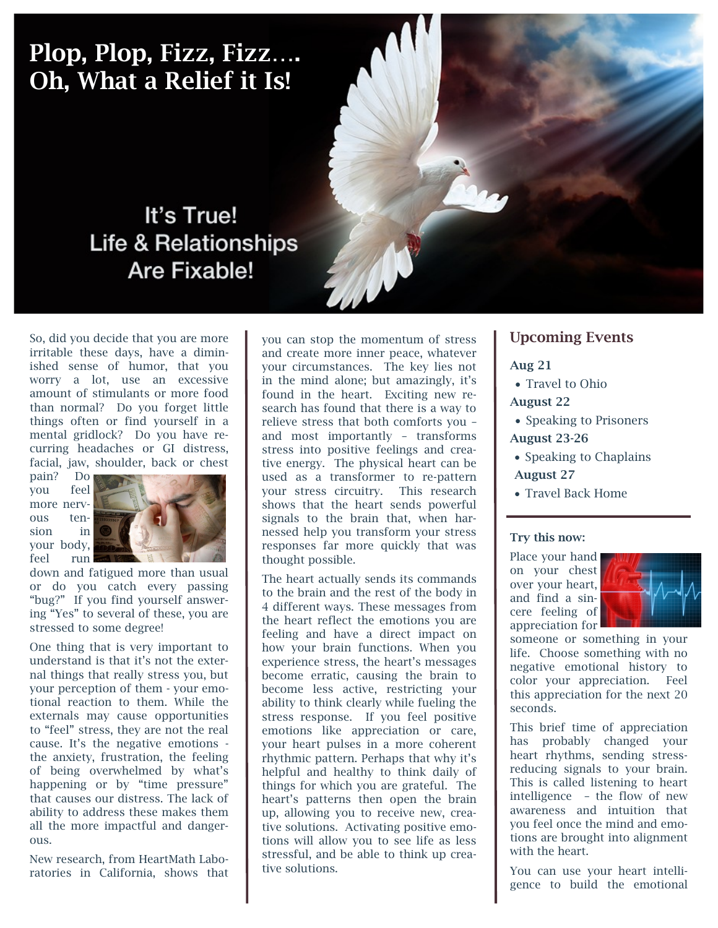# Plop, Plop, Fizz, Fizz…. Oh, What a Relief it Is!

### It's True! **Life & Relationships** Are Fixable!

So, did you decide that you are more irritable these days, have a diminished sense of humor, that you worry a lot, use an excessive amount of stimulants or more food than normal? Do you forget little things often or find yourself in a mental gridlock? Do you have recurring headaches or GI distress, facial, jaw, shoulder, back or chest

pain? Do you feel more nervous tension in your body, feel run



down and fatigued more than usual or do you catch every passing "bug?" If you find yourself answering "Yes" to several of these, you are stressed to some degree!

One thing that is very important to understand is that it's not the external things that really stress you, but your perception of them - your emotional reaction to them. While the externals may cause opportunities to "feel" stress, they are not the real cause. It's the negative emotions the anxiety, frustration, the feeling of being overwhelmed by what's happening or by "time pressure" that causes our distress. The lack of ability to address these makes them all the more impactful and dangerous.

New research, from HeartMath Laboratories in California, shows that

you can stop the momentum of stress and create more inner peace, whatever your circumstances. The key lies not in the mind alone; but amazingly, it's found in the heart. Exciting new research has found that there is a way to relieve stress that both comforts you – and most importantly – transforms stress into positive feelings and creative energy. The physical heart can be used as a transformer to re-pattern your stress circuitry. This research shows that the heart sends powerful signals to the brain that, when harnessed help you transform your stress responses far more quickly that was thought possible.

The heart actually sends its commands to the brain and the rest of the body in 4 different ways. These messages from the heart reflect the emotions you are feeling and have a direct impact on how your brain functions. When you experience stress, the heart's messages become erratic, causing the brain to become less active, restricting your ability to think clearly while fueling the stress response. If you feel positive emotions like appreciation or care, your heart pulses in a more coherent rhythmic pattern. Perhaps that why it's helpful and healthy to think daily of things for which you are grateful. The heart's patterns then open the brain up, allowing you to receive new, creative solutions. Activating positive emotions will allow you to see life as less stressful, and be able to think up creative solutions.

### Upcoming Events

#### Aug 21

- Travel to Ohio
- August 22
- Speaking to Prisoners August 23-26
- Speaking to Chaplains August 27
- Travel Back Home

#### Try this now:

Place your hand on your chest over your heart, and find a sincere feeling of appreciation for



someone or something in your life. Choose something with no negative emotional history to color your appreciation. Feel this appreciation for the next 20 seconds.

This brief time of appreciation has probably changed your heart rhythms, sending stressreducing signals to your brain. This is called listening to heart intelligence – the flow of new awareness and intuition that you feel once the mind and emotions are brought into alignment with the heart.

You can use your heart intelligence to build the emotional